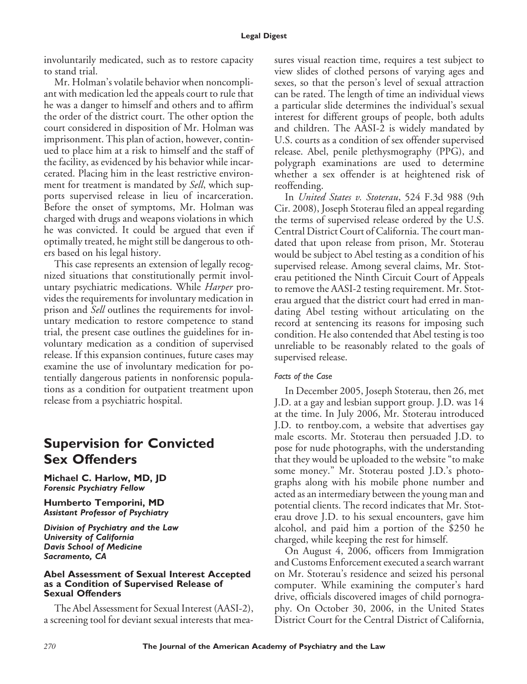involuntarily medicated, such as to restore capacity to stand trial.

Mr. Holman's volatile behavior when noncompliant with medication led the appeals court to rule that he was a danger to himself and others and to affirm the order of the district court. The other option the court considered in disposition of Mr. Holman was imprisonment. This plan of action, however, continued to place him at a risk to himself and the staff of the facility, as evidenced by his behavior while incarcerated. Placing him in the least restrictive environment for treatment is mandated by *Sell*, which supports supervised release in lieu of incarceration. Before the onset of symptoms, Mr. Holman was charged with drugs and weapons violations in which he was convicted. It could be argued that even if optimally treated, he might still be dangerous to others based on his legal history.

This case represents an extension of legally recognized situations that constitutionally permit involuntary psychiatric medications. While *Harper* provides the requirements for involuntary medication in prison and *Sell* outlines the requirements for involuntary medication to restore competence to stand trial, the present case outlines the guidelines for involuntary medication as a condition of supervised release. If this expansion continues, future cases may examine the use of involuntary medication for potentially dangerous patients in nonforensic populations as a condition for outpatient treatment upon release from a psychiatric hospital.

# **Supervision for Convicted Sex Offenders**

**Michael C. Harlow, MD, JD** *Forensic Psychiatry Fellow*

**Humberto Temporini, MD** *Assistant Professor of Psychiatry*

*Division of Psychiatry and the Law University of California Davis School of Medicine Sacramento, CA*

### **Abel Assessment of Sexual Interest Accepted as a Condition of Supervised Release of Sexual Offenders**

The Abel Assessment for Sexual Interest (AASI-2), a screening tool for deviant sexual interests that measures visual reaction time, requires a test subject to view slides of clothed persons of varying ages and sexes, so that the person's level of sexual attraction can be rated. The length of time an individual views a particular slide determines the individual's sexual interest for different groups of people, both adults and children. The AASI-2 is widely mandated by U.S. courts as a condition of sex offender supervised release. Abel, penile plethysmography (PPG), and polygraph examinations are used to determine whether a sex offender is at heightened risk of reoffending.

In *United States v. Stoterau*, 524 F.3d 988 (9th Cir. 2008), Joseph Stoterau filed an appeal regarding the terms of supervised release ordered by the U.S. Central District Court of California. The court mandated that upon release from prison, Mr. Stoterau would be subject to Abel testing as a condition of his supervised release. Among several claims, Mr. Stoterau petitioned the Ninth Circuit Court of Appeals to remove the AASI-2 testing requirement. Mr. Stoterau argued that the district court had erred in mandating Abel testing without articulating on the record at sentencing its reasons for imposing such condition. He also contended that Abel testing is too unreliable to be reasonably related to the goals of supervised release.

## *Facts of the Case*

In December 2005, Joseph Stoterau, then 26, met J.D. at a gay and lesbian support group. J.D. was 14 at the time. In July 2006, Mr. Stoterau introduced J.D. to rentboy.com, a website that advertises gay male escorts. Mr. Stoterau then persuaded J.D. to pose for nude photographs, with the understanding that they would be uploaded to the website "to make some money." Mr. Stoterau posted J.D.'s photographs along with his mobile phone number and acted as an intermediary between the young man and potential clients. The record indicates that Mr. Stoterau drove J.D. to his sexual encounters, gave him alcohol, and paid him a portion of the \$250 he charged, while keeping the rest for himself.

On August 4, 2006, officers from Immigration and Customs Enforcement executed a search warrant on Mr. Stoterau's residence and seized his personal computer. While examining the computer's hard drive, officials discovered images of child pornography. On October 30, 2006, in the United States District Court for the Central District of California,